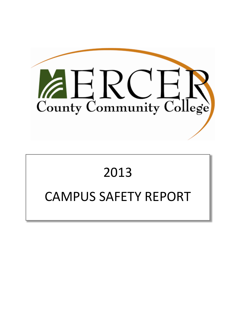

# 2013 CAMPUS SAFETY REPORT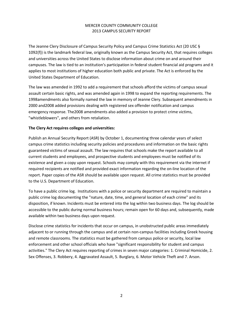The Jeanne Clery Disclosure of Campus Security Policy and Campus Crime Statistics Act (20 USC § 1092(f)) is the landmark federal law, originally known as the Campus Security Act, that requires colleges and universities across the United States to disclose information about crime on and around their campuses. The law is tied to an institution's participation in federal student financial aid programs and it applies to most institutions of higher education both public and private. The Act is enforced by the United States Department of Education.

The law was amended in 1992 to add a requirement that schools afford the victims of campus sexual assault certain basic rights, and was amended again in 1998 to expand the reporting requirements. The 1998amendments also formally named the law in memory of Jeanne Clery. Subsequent amendments in 2000 and2008 added provisions dealing with registered sex offender notification and campus emergency response. The2008 amendments also added a provision to protect crime victims, "whistleblowers", and others from retaliation.

# **The Clery Act requires colleges and universities:**

Publish an Annual Security Report (ASR) by October 1, documenting three calendar years of select campus crime statistics including security policies and procedures and information on the basic rights guaranteed victims of sexual assault. The law requires that schools make the report available to all current students and employees, and prospective students and employees must be notified of its existence and given a copy upon request. Schools may comply with this requirement via the internet if required recipients are notified and provided exact information regarding the on‐line location of the report. Paper copies of the ASR should be available upon request. All crime statistics must be provided to the U.S. Department of Education.

To have a public crime log. Institutions with a police or security department are required to maintain a public crime log documenting the "nature, date, time, and general location of each crime" and its disposition, if known. Incidents must be entered into the log within two business days. The log should be accessible to the public during normal business hours; remain open for 60 days and, subsequently, made available within two business days upon request.

Disclose crime statistics for incidents that occur on campus, in unobstructed public areas immediately adjacent to or running through the campus and at certain non‐campus facilities including Greek housing and remote classrooms. The statistics must be gathered from campus police or security, local law enforcement and other school officials who have "significant responsibility for student and campus activities." The Clery Act requires reporting of crimes in seven major categories: 1. Criminal Homicide, 2. Sex Offenses, 3. Robbery, 4. Aggravated Assault, 5. Burglary, 6. Motor Vehicle Theft and 7. Arson.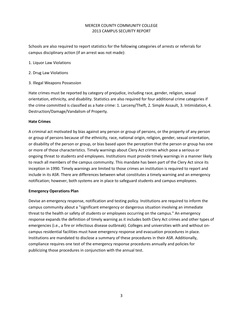Schools are also required to report statistics for the following categories of arrests or referrals for campus disciplinary action (if an arrest was not made):

- 1. Liquor Law Violations
- 2. Drug Law Violations
- 3. Illegal Weapons Possession

Hate crimes must be reported by category of prejudice, including race, gender, religion, sexual orientation, ethnicity, and disability. Statistics are also required for four additional crime categories if the crime committed is classified as a hate crime: 1. Larceny/Theft, 2. Simple Assault, 3. Intimidation, 4. Destruction/Damage/Vandalism of Property.

# **Hate Crimes**

A criminal act motivated by bias against any person or group of persons, or the property of any person or group of persons because of the ethnicity, race, national origin, religion, gender, sexual orientation, or disability of the person or group, or bias based upon the perception that the person or group has one or more of those characteristics. Timely warnings about Clery Act crimes which pose a serious or ongoing threat to students and employees. Institutions must provide timely warnings in a manner likely to reach all members of the campus community. This mandate has been part of the Clery Act since its inception in 1990. Timely warnings are limited to those crimes an institution is required to report and include in its ASR. There are differences between what constitutes a timely warning and an emergency notification; however, both systems are in place to safeguard students and campus employees.

## **Emergency Operations Plan**

Devise an emergency response, notification and testing policy. Institutions are required to inform the campus community about a "significant emergency or dangerous situation involving an immediate threat to the health or safety of students or employees occurring on the campus." An emergency response expands the definition of timely warning as it includes both Clery Act crimes and other types of emergencies (i.e., a fire or infectious disease outbreak). Colleges and universities with and without on‐ campus residential facilities must have emergency response and evacuation procedures in place. Institutions are mandated to disclose a summary of these procedures in their ASR. Additionally, compliance requires one test of the emergency response procedures annually and policies for publicizing those procedures in conjunction with the annual test.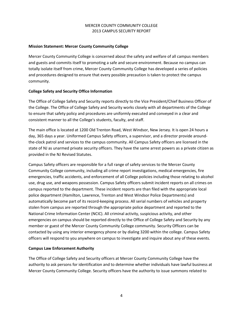# **Mission Statement: Mercer County Community College**

Mercer County Community College is concerned about the safety and welfare of all campus members and guests and commits itself to promoting a safe and secure environment. Because no campus can totally isolate itself from crime, Mercer County Community College has developed a series of policies and procedures designed to ensure that every possible precaution is taken to protect the campus community.

# **College Safety and Security Office Information**

The Office of College Safety and Security reports directly to the Vice President/Chief Business Officer of the College. The Office of College Safety and Security works closely with all departments of the College to ensure that safety policy and procedures are uniformly executed and conveyed in a clear and consistent manner to all the College's students, faculty, and staff.

The main office is located at 1200 Old Trenton Road, West Windsor, New Jersey. It is open 24 hours a day, 365 days a year. Uniformed Campus Safety officers, a supervisor, and a director provide around‐ the‐clock patrol and services to the campus community. All Campus Safety officers are licensed in the state of NJ as unarmed private security officers. They have the same arrest powers as a private citizen as provided in the NJ Revised Statutes.

Campus Safety officers are responsible for a full range of safety services to the Mercer County Community College community, including all crime report investigations, medical emergencies, fire emergencies, traffic accidents, and enforcement of all College policies including those relating to alcohol use, drug use, and weapons possession. Campus Safety officers submit incident reports on all crimes on campus reported to the department. These incident reports are than filed with the appropriate local police department (Hamilton, Lawrence, Trenton and West Windsor Police Departments) and automatically become part of its record‐keeping process. All serial numbers of vehicles and property stolen from campus are reported through the appropriate police department and reported to the National Crime Information Center (NCIC). All criminal activity, suspicious activity, and other emergencies on campus should be reported directly to the Office of College Safety and Security by any member or guest of the Mercer County Community College community. Security Officers can be contacted by using any interior emergency phone or by dialing 3200 within the college. Campus Safety officers will respond to you anywhere on campus to investigate and inquire about any of these events.

# **Campus Law Enforcement Authority**

The Office of College Safety and Security officers at Mercer County Community College have the authority to ask persons for identification and to determine whether individuals have lawful business at Mercer County Community College. Security officers have the authority to issue summons related to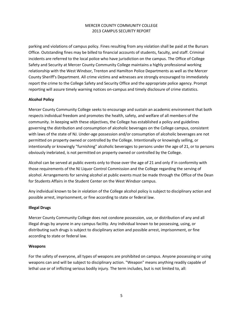parking and violations of campus policy. Fines resulting from any violation shall be paid at the Bursars Office. Outstanding fines may be billed to financial accounts of students, faculty, and staff. Criminal incidents are referred to the local police who have jurisdiction on the campus. The Office of College Safety and Security at Mercer County Community College maintains a highly professional working relationship with the West Windsor, Trenton and Hamilton Police Departments as well as the Mercer County Sheriff's Department. All crime victims and witnesses are strongly encouraged to immediately report the crime to the College Safety and Security Office and the appropriate police agency. Prompt reporting will assure timely warning notices on‐campus and timely disclosure of crime statistics.

# **Alcohol Policy**

Mercer County Community College seeks to encourage and sustain an academic environment that both respects individual freedom and promotes the health, safety, and welfare of all members of the community. In keeping with these objectives, the College has established a policy and guidelines governing the distribution and consumption of alcoholic beverages on the College campus, consistent with laws of the state of NJ. Under-age possession and/or consumption of alcoholic beverages are not permitted on property owned or controlled by the College. Intentionally or knowingly selling, or intentionally or knowingly "furnishing" alcoholic beverages to persons under the age of 21, or to persons obviously inebriated, is not permitted on property owned or controlled by the College.

Alcohol can be served at public events only to those over the age of 21 and only if in conformity with those requirements of the NJ Liquor Control Commission and the College regarding the serving of alcohol. Arrangements for serving alcohol at public events must be made through the Office of the Dean for Students Affairs in the Student Center on the West Windsor campus.

Any individual known to be in violation of the College alcohol policy is subject to disciplinary action and possible arrest, imprisonment, or fine according to state or federal law.

## **Illegal Drugs**

Mercer County Community College does not condone possession, use, or distribution of any and all illegal drugs by anyone in any campus facility. Any individual known to be possessing, using, or distributing such drugs is subject to disciplinary action and possible arrest, imprisonment, or fine according to state or federal law.

## **Weapons**

For the safety of everyone, all types of weapons are prohibited on campus. Anyone possessing or using weapons can and will be subject to disciplinary action. "Weapon" means anything readily capable of lethal use or of inflicting serious bodily injury. The term includes, but is not limited to, all: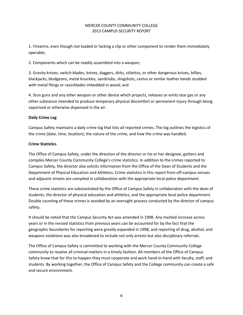1. Firearms, even though not loaded or lacking a clip or other component to render them immediately operable;

2. Components which can be readily assembled into a weapon;

3. Gravity knives, switch‐blades, knives, daggers, dirks, stilettos, or other dangerous knives, billies, blackjacks, bludgeons, metal knuckles, sandclubs, slingshots, cestus or similar leather bands studded with metal filings or razorblades imbedded in wood; and

4. Stun guns and any other weapon or other device which projects, releases or emits tear gas or any other substance intended to produce temporary physical discomfort or permanent injury through being vaporized or otherwise dispensed in the air.

# **Daily Crime Log**

Campus Safety maintains a daily crime log that lists all reported crimes. The log outlines the logistics of the crime (date, time, location), the nature of the crime, and how the crime was handled.

# **Crime Statistics**

The Office of Campus Safety, under the direction of the director or his or her designee, gathers and compiles Mercer County Community College's crime statistics. In addition to the crimes reported to Campus Safety, the director also solicits information from the Office of the Dean of Students and the Department of Physical Education and Athletics. Crime statistics in this report from off-campus venues and adjacent streets are compiled in collaboration with the appropriate local police department.

These crime statistics are substantiated by the Office of Campus Safety in collaboration with the dean of students, the director of physical education and athletics, and the appropriate local police department. Double counting of these crimes is avoided by an oversight process conducted by the director of campus safety.

It should be noted that the Campus Security Act was amended in 1998. Any marked increase across years or in the revised statistics from previous years can be accounted for by the fact that the geographic boundaries for reporting were greatly expanded in 1998, and reporting of drug, alcohol, and weapons violations was also broadened to include not only arrests but also disciplinary referrals.

The Office of Campus Safety is committed to working with the Mercer County Community College community to resolve all criminal matters in a timely fashion. All members of the Office of Campus Safety know that for this to happen they must cooperate and work hand‐in‐hand with faculty, staff, and students. By working together, the Office of Campus Safety and the College community can create a safe and secure environment.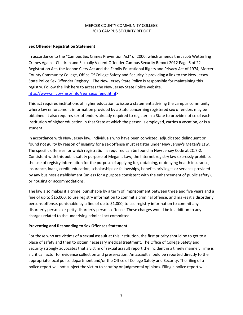## **Sex Offender Registration Statement**

In accordance to the "Campus Sex Crimes Prevention Act" of 2000, which amends the Jacob Wetterling Crimes Against Children and Sexually Violent Offender Campus Security Report 2012 Page 6 of 22 Registration Act, the Jeanne Clery Act and the Family Educational Rights and Privacy Act of 1974, Mercer County Community College, Office Of College Safety and Security is providing a link to the New Jersey State Police Sex Offender Registry. The New Jersey State Police is responsible for maintaining this registry. Follow the link here to access the New Jersey State Police website. [http://www.nj.gov/njsp/info/reg\\_sexoffend.html>](http://www.nj.gov/njsp/info/reg_sexoffend.html)

This act requires institutions of higher education to issue a statement advising the campus community where law enforcement information provided by a State concerning registered sex offenders may be obtained. It also requires sex offenders already required to register in a State to provide notice of each institution of higher education in that State at which the person is employed, carries a vocation, or is a student.

In accordance with New Jersey law, individuals who have been convicted, adjudicated delinquent or found not guilty by reason of insanity for a sex offense must register under New Jersey's Megan's Law. The specific offenses for which registration is required can be found in New Jersey Code at 2C:7‐2. Consistent with this public safety purpose of Megan's Law, the Internet registry law expressly prohibits the use of registry information for the purpose of applying for, obtaining, or denying health insurance, insurance, loans, credit, education, scholarships or fellowships, benefits privileges or services provided by any business establishment (unless for a purpose consistent with the enhancement of public safety), or housing or accommodations.

The law also makes it a crime, punishable by a term of imprisonment between three and five years and a fine of up to \$15,000, to use registry information to commit a criminal offense, and makes it a disorderly persons offense, punishable by a fine of up to \$1,000, to use registry information to commit any disorderly persons or petty disorderly persons offense. These charges would be in addition to any charges related to the underlying criminal act committed.

## **Preventing and Responding to Sex Offenses Statement**

For those who are victims of a sexual assault at this institution, the first priority should be to get to a place of safety and then to obtain necessary medical treatment. The Office of College Safety and Security strongly advocates that a victim of sexual assault report the incident in a timely manner. Time is a critical factor for evidence collection and preservation. An assault should be reported directly to the appropriate local police department and/or the Office of College Safety and Security. The filing of a police report will not subject the victim to scrutiny or judgmental opinions. Filing a police report will: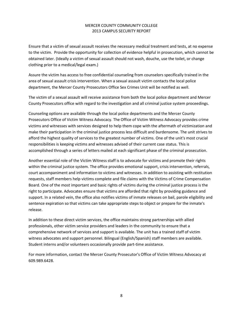Ensure that a victim of sexual assault receives the necessary medical treatment and tests, at no expense to the victim. Provide the opportunity for collection of evidence helpful in prosecution, which cannot be obtained later. (Ideally a victim of sexual assault should not wash, douche, use the toilet, or change clothing prior to a medical/legal exam.)

Assure the victim has access to free confidential counseling from counselors specifically trained in the area of sexual assault crisis intervention. When a sexual assault victim contacts the local police department, the Mercer County Prosecutors Office Sex Crimes Unit will be notified as well.

The victim of a sexual assault will receive assistance from both the local police department and Mercer County Prosecutors office with regard to the investigation and all criminal justice system proceedings.

Counseling options are available through the local police departments and the Mercer County Prosecutors Office of Victim Witness Advocacy. The Office of Victim Witness Advocacy provides crime victims and witnesses with services designed to help them cope with the aftermath of victimization and make their participation in the criminal justice process less difficult and burdensome. The unit strives to afford the highest quality of services to the greatest number of victims. One of the unit's most crucial responsibilities is keeping victims and witnesses advised of their current case status. This is accomplished through a series of letters mailed at each significant phase of the criminal prosecution.

Another essential role of the Victim Witness staff is to advocate for victims and promote their rights within the criminal justice system. The office provides emotional support, crisis intervention, referrals, court accompaniment and information to victims and witnesses. In addition to assisting with restitution requests, staff members help victims complete and file claims with the Victims of Crime Compensation Board. One of the most important and basic rights of victims during the criminal justice process is the right to participate. Advocates ensure that victims are afforded that right by providing guidance and support. In a related vein, the office also notifies victims of inmate releases on bail, parole eligibility and sentence expiration so that victims can take appropriate steps to object or prepare for the inmate's release.

In addition to these direct victim services, the office maintains strong partnerships with allied professionals, other victim service providers and leaders in the community to ensure that a comprehensive network of services and support is available. The unit has a trained staff of victim witness advocates and support personnel. Bilingual (English/Spanish) staff members are available. Student interns and/or volunteers occasionally provide part‐time assistance.

For more information, contact the Mercer County Prosecutor's Office of Victim Witness Advocacy at 609.989.6428.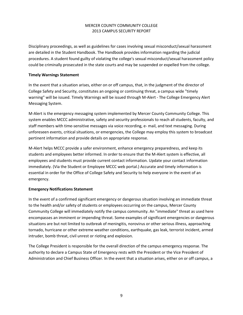Disciplinary proceedings, as well as guidelines for cases involving sexual misconduct/sexual harassment are detailed in the Student Handbook. The Handbook provides information regarding the judicial procedures. A student found guilty of violating the college's sexual misconduct/sexual harassment policy could be criminally prosecuted in the state courts and may be suspended or expelled from the college.

# **Timely Warnings Statement**

In the event that a situation arises, either on or off campus, that, in the judgment of the director of College Safety and Security, constitutes an ongoing or continuing threat, a campus wide "timely warning" will be issued. Timely Warnings will be issued through M‐Alert ‐ The College Emergency Alert Messaging System.

M‐Alert is the emergency messaging system implemented by Mercer County Community College. This system enables MCCC administrative, safety and security professionals to reach all students, faculty, and staff members with time‐sensitive messages via voice recording, e‐ mail, and text messaging. During unforeseen events, critical situations, or emergencies, the College may employ this system to broadcast pertinent information and provide details on appropriate response.

M‐Alert helps MCCC provide a safer environment, enhance emergency preparedness, and keep its students and employees better informed. In order to ensure that the M‐Alert system is effective, all employees and students must provide current contact information. Update your contact information immediately. (Via the Student or Employee MCCC web portal.) Accurate and timely information is essential in order for the Office of College Safety and Security to help everyone in the event of an emergency.

# **Emergency Notifications Statement**

In the event of a confirmed significant emergency or dangerous situation involving an immediate threat to the health and/or safety of students or employees occurring on the campus, Mercer County Community College will immediately notify the campus community. An "immediate" threat as used here encompasses an imminent or impending threat. Some examples of significant emergencies or dangerous situations are but not limited to outbreak of meningitis, norovirus or other serious illness, approaching tornado, hurricane or other extreme weather conditions, earthquake, gas leak, terrorist incident, armed intruder, bomb threat, civil unrest or rioting and explosion.

The College President is responsible for the overall direction of the campus emergency response. The authority to declare a Campus State of Emergency rests with the President or the Vice President of Administration and Chief Business Officer. In the event that a situation arises, either on or off campus, a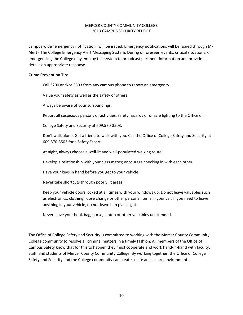campus wide "emergency notification" will be issued. Emergency notifications will be issued through M‐ Alert ‐ The College Emergency Alert Messaging System. During unforeseen events, critical situations, or emergencies, the College may employ this system to broadcast pertinent information and provide details on appropriate response.

#### **Crime Prevention Tips**

Call 3200 and/or 3503 from any campus phone to report an emergency.

Value your safety as well as the safety of others.

Always be aware of your surroundings.

Report all suspicious persons or activities, safety hazards or unsafe lighting to the Office of

College Safety and Security at 609.570‐3503.

Don't walk alone. Get a friend to walk with you. Call the Office of College Safety and Security at 609.570‐3503 for a Safety Escort.

At night, always choose a well‐lit and well‐populated walking route.

Develop a relationship with your class mates; encourage checking in with each other.

Have your keys in hand before you get to your vehicle.

Never take shortcuts through poorly lit areas.

Keep your vehicle doors locked at all times with your windows up. Do not leave valuables such as electronics, clothing, loose change or other personal items in your car. If you need to leave anything in your vehicle, do not leave it in plain sight.

Never leave your book bag, purse, laptop or other valuables unattended.

The Office of College Safety and Security is committed to working with the Mercer County Community College community to resolve all criminal matters in a timely fashion. All members of the Office of Campus Safety know that for this to happen they must cooperate and work hand-in-hand with faculty, staff, and students of Mercer County Community College. By working together, the Office of College Safety and Security and the College community can create a safe and secure environment.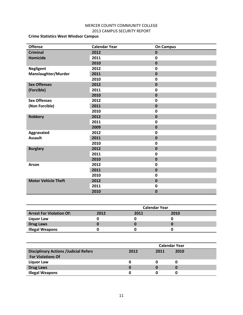# **Crime Statistics West Windsor Campus**

| <b>Offense</b>             | <b>Calendar Year</b> | <b>On Campus</b> |
|----------------------------|----------------------|------------------|
| <b>Criminal</b>            | 2012                 | $\mathbf 0$      |
| <b>Homicide</b>            | 2011                 | 0                |
|                            | 2010                 | $\mathbf 0$      |
| <b>Negligent</b>           | 2012                 | $\mathbf 0$      |
| Manslaughter/Murder        | 2011                 | $\mathbf 0$      |
|                            | 2010                 | $\mathbf 0$      |
| <b>Sex Offenses</b>        | 2012                 | $\mathbf 0$      |
| (Forcible)                 | 2011                 | $\mathbf 0$      |
|                            | 2010                 | $\mathbf 0$      |
| <b>Sex Offenses</b>        | 2012                 | $\mathbf 0$      |
| (Non Forcible)             | 2011                 | $\mathbf 0$      |
|                            | 2010                 | $\pmb{0}$        |
| <b>Robbery</b>             | 2012                 | $\mathbf 0$      |
|                            | 2011                 | $\mathbf 0$      |
|                            | 2009                 | $\mathbf 0$      |
| Aggravated                 | 2012                 | $\mathbf 0$      |
| <b>Assault</b>             | 2011                 | $\bf{0}$         |
|                            | 2010                 | $\mathbf 0$      |
| <b>Burglary</b>            | 2012                 | $\pmb{0}$        |
|                            | 2011                 | $\mathbf 0$      |
|                            | 2010                 | $\bf{0}$         |
| Arson                      | 2012                 | $\mathbf 0$      |
|                            | 2011                 | $\mathbf 0$      |
|                            | 2010                 | $\mathbf 0$      |
| <b>Motor Vehicle Theft</b> | 2012                 | $\mathbf 0$      |
|                            | 2011                 | $\mathbf 0$      |
|                            | 2010                 | $\bf{0}$         |

|                                 | <b>Calendar Year</b> |      |      |  |
|---------------------------------|----------------------|------|------|--|
| <b>Arrest For Violation Of:</b> | 2012                 | 2011 | 2010 |  |
| Liquor Law                      |                      |      |      |  |
| <b>Drug Laws</b>                |                      |      |      |  |
| <b>Illegal Weapons</b>          |                      |      |      |  |

|                                              | <b>Calendar Year</b> |      |      |  |
|----------------------------------------------|----------------------|------|------|--|
| <b>Disciplinary Actions /Judicial Refers</b> | 2012                 | 2011 | 2010 |  |
| <b>For Violations Of</b>                     |                      |      |      |  |
| Liquor Law                                   | 0                    |      |      |  |
| <b>Drug Laws</b>                             | 0                    | n    |      |  |
| <b>Illegal Weapons</b>                       | O                    |      |      |  |